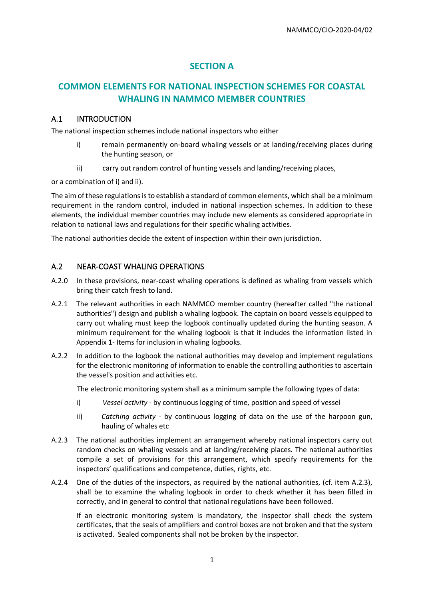## **SECTION A**

# **COMMON ELEMENTS FOR NATIONAL INSPECTION SCHEMES FOR COASTAL WHALING IN NAMMCO MEMBER COUNTRIES**

#### A.1 INTRODUCTION

The national inspection schemes include national inspectors who either

- i) remain permanently on-board whaling vessels or at landing/receiving places during the hunting season, or
- ii) carry out random control of hunting vessels and landing/receiving places,

or a combination of i) and ii).

The aim of these regulations is to establish a standard of common elements, which shall be a minimum requirement in the random control, included in national inspection schemes. In addition to these elements, the individual member countries may include new elements as considered appropriate in relation to national laws and regulations for their specific whaling activities.

The national authorities decide the extent of inspection within their own jurisdiction.

### A.2 NEAR-COAST WHALING OPERATIONS

- A.2.0 In these provisions, near-coast whaling operations is defined as whaling from vessels which bring their catch fresh to land.
- A.2.1 The relevant authorities in each NAMMCO member country (hereafter called "the national authorities") design and publish a whaling logbook. The captain on board vessels equipped to carry out whaling must keep the logbook continually updated during the hunting season. A minimum requirement for the whaling logbook is that it includes the information listed in Appendix 1- Items for inclusion in whaling logbooks.
- A.2.2 In addition to the logbook the national authorities may develop and implement regulations for the electronic monitoring of information to enable the controlling authorities to ascertain the vessel's position and activities etc.

The electronic monitoring system shall as a minimum sample the following types of data:

- i) *Vessel activity* by continuous logging of time, position and speed of vessel
- ii) *Catching activity* by continuous logging of data on the use of the harpoon gun, hauling of whales etc
- A.2.3 The national authorities implement an arrangement whereby national inspectors carry out random checks on whaling vessels and at landing/receiving places. The national authorities compile a set of provisions for this arrangement, which specify requirements for the inspectors' qualifications and competence, duties, rights, etc.
- A.2.4 One of the duties of the inspectors, as required by the national authorities, (cf. item A.2.3), shall be to examine the whaling logbook in order to check whether it has been filled in correctly, and in general to control that national regulations have been followed.

If an electronic monitoring system is mandatory, the inspector shall check the system certificates, that the seals of amplifiers and control boxes are not broken and that the system is activated. Sealed components shall not be broken by the inspector.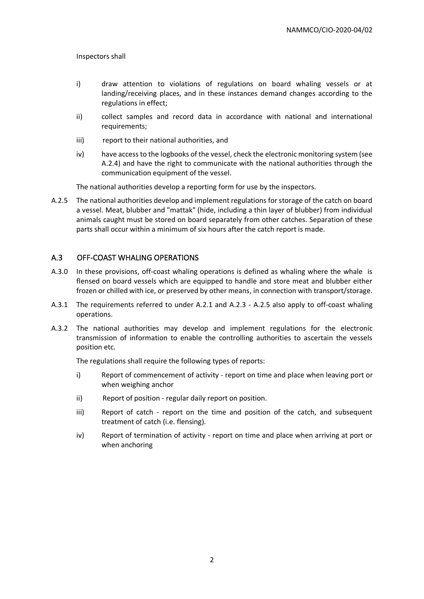Inspectors shall

- i) draw attention to violations of regulations on board whaling vessels or at landing/receiving places, and in these instances demand changes according to the regulations in effect;
- ii) collect samples and record data in accordance with national and international requirements;
- iii) report to their national authorities, and
- iv) have access to the logbooks of the vessel, check the electronic monitoring system (see A.2.4) and have the right to communicate with the national authorities through the communication equipment of the vessel.

The national authorities develop a reporting form for use by the inspectors.

A.2.5 The national authorities develop and implement regulations for storage of the catch on board a vessel. Meat, blubber and "mattak" (hide, including a thin layer of blubber) from individual animals caught must be stored on board separately from other catches. Separation of these parts shall occur within a minimum of six hours after the catch report is made.

### A.3 OFF-COAST WHALING OPERATIONS

- A.3.0 In these provisions, off-coast whaling operations is defined as whaling where the whale is flensed on board vessels which are equipped to handle and store meat and blubber either frozen or chilled with ice, or preserved by other means, in connection with transport/storage.
- A.3.1 The requirements referred to under A.2.1 and A.2.3 A.2.5 also apply to off-coast whaling operations.
- A.3.2 The national authorities may develop and implement regulations for the electronic transmission of information to enable the controlling authorities to ascertain the vessels position etc.

The regulations shall require the following types of reports:

- i) Report of commencement of activity report on time and place when leaving port or when weighing anchor
- ii) Report of position regular daily report on position.
- iii) Report of catch report on the time and position of the catch, and subsequent treatment of catch (i.e. flensing).
- iv) Report of termination of activity report on time and place when arriving at port or when anchoring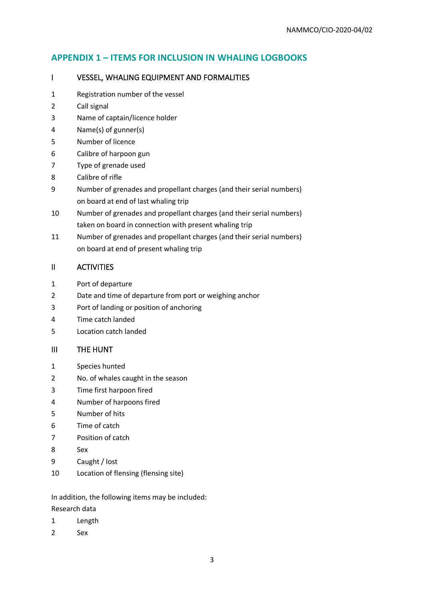# **APPENDIX 1 – ITEMS FOR INCLUSION IN WHALING LOGBOOKS**

### I VESSEL, WHALING EQUIPMENT AND FORMALITIES

- Registration number of the vessel
- Call signal
- Name of captain/licence holder
- Name(s) of gunner(s)
- Number of licence
- Calibre of harpoon gun
- Type of grenade used
- Calibre of rifle
- Number of grenades and propellant charges (and their serial numbers) on board at end of last whaling trip
- Number of grenades and propellant charges (and their serial numbers) taken on board in connection with present whaling trip
- Number of grenades and propellant charges (and their serial numbers) on board at end of present whaling trip

### II ACTIVITIES

- Port of departure
- Date and time of departure from port or weighing anchor
- Port of landing or position of anchoring
- Time catch landed
- Location catch landed

### III THE HUNT

- Species hunted
- No. of whales caught in the season
- Time first harpoon fired
- Number of harpoons fired
- Number of hits
- Time of catch
- Position of catch
- Sex
- Caught / lost
- Location of flensing (flensing site)

In addition, the following items may be included: Research data

- Length
- Sex